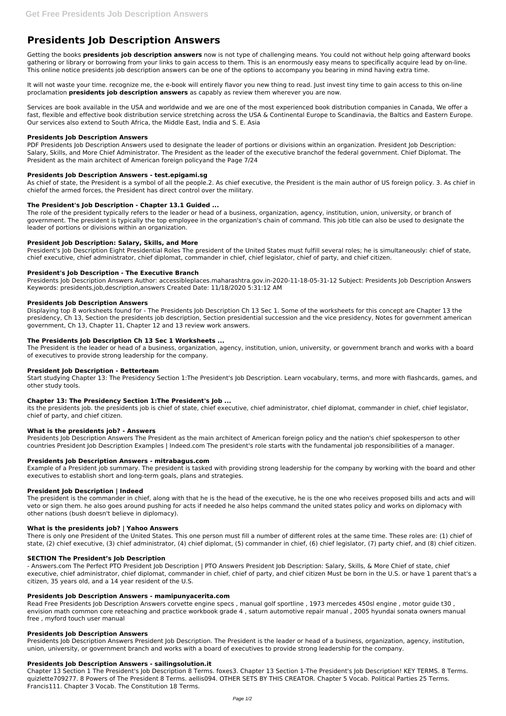# **Presidents Job Description Answers**

Getting the books **presidents job description answers** now is not type of challenging means. You could not without help going afterward books gathering or library or borrowing from your links to gain access to them. This is an enormously easy means to specifically acquire lead by on-line. This online notice presidents job description answers can be one of the options to accompany you bearing in mind having extra time.

It will not waste your time. recognize me, the e-book will entirely flavor you new thing to read. Just invest tiny time to gain access to this on-line proclamation **presidents job description answers** as capably as review them wherever you are now.

PDF Presidents Job Description Answers used to designate the leader of portions or divisions within an organization. President Job Description: Salary, Skills, and More Chief Administrator. The President as the leader of the executive branchof the federal government. Chief Diplomat. The President as the main architect of American foreign policyand the Page 7/24

Services are book available in the USA and worldwide and we are one of the most experienced book distribution companies in Canada, We offer a fast, flexible and effective book distribution service stretching across the USA & Continental Europe to Scandinavia, the Baltics and Eastern Europe. Our services also extend to South Africa, the Middle East, India and S. E. Asia

## **Presidents Job Description Answers**

## **Presidents Job Description Answers - test.epigami.sg**

As chief of state, the President is a symbol of all the people.2. As chief executive, the President is the main author of US foreign policy. 3. As chief in chiefof the armed forces, the President has direct control over the military.

## **The President's Job Description - Chapter 13.1 Guided ...**

The role of the president typically refers to the leader or head of a business, organization, agency, institution, union, university, or branch of government. The president is typically the top employee in the organization's chain of command. This job title can also be used to designate the leader of portions or divisions within an organization.

## **President Job Description: Salary, Skills, and More**

President's Job Description Eight Presidential Roles The president of the United States must fulfill several roles; he is simultaneously: chief of state, chief executive, chief administrator, chief diplomat, commander in chief, chief legislator, chief of party, and chief citizen.

## **President's Job Description - The Executive Branch**

Presidents Job Description Answers Author: accessibleplaces.maharashtra.gov.in-2020-11-18-05-31-12 Subject: Presidents Job Description Answers Keywords: presidents,job,description,answers Created Date: 11/18/2020 5:31:12 AM

## **Presidents Job Description Answers**

Displaying top 8 worksheets found for - The Presidents Job Description Ch 13 Sec 1. Some of the worksheets for this concept are Chapter 13 the presidency, Ch 13, Section the presidents job description, Section presidential succession and the vice presidency, Notes for government american government, Ch 13, Chapter 11, Chapter 12 and 13 review work answers.

## **The Presidents Job Description Ch 13 Sec 1 Worksheets ...**

The President is the leader or head of a business, organization, agency, institution, union, university, or government branch and works with a board of executives to provide strong leadership for the company.

## **President Job Description - Betterteam**

Start studying Chapter 13: The Presidency Section 1:The President's Job Description. Learn vocabulary, terms, and more with flashcards, games, and other study tools.

## **Chapter 13: The Presidency Section 1:The President's Job ...**

its the presidents job. the presidents job is chief of state, chief executive, chief administrator, chief diplomat, commander in chief, chief legislator, chief of party, and chief citizen.

#### **What is the presidents job? - Answers**

Presidents Job Description Answers The President as the main architect of American foreign policy and the nation's chief spokesperson to other countries President Job Description Examples | Indeed.com The president's role starts with the fundamental job responsibilities of a manager.

#### **Presidents Job Description Answers - mitrabagus.com**

Example of a President job summary. The president is tasked with providing strong leadership for the company by working with the board and other executives to establish short and long-term goals, plans and strategies.

### **President Job Description | Indeed**

The president is the commander in chief, along with that he is the head of the executive, he is the one who receives proposed bills and acts and will veto or sign them. he also goes around pushing for acts if needed he also helps command the united states policy and works on diplomacy with other nations (bush doesn't believe in diplomacy).

## **What is the presidents job? | Yahoo Answers**

There is only one President of the United States. This one person must fill a number of different roles at the same time. These roles are: (1) chief of

state, (2) chief executive, (3) chief administrator, (4) chief diplomat, (5) commander in chief, (6) chief legislator, (7) party chief, and (8) chief citizen.

#### **SECTION The President's Job Description**

- Answers.com The Perfect PTO President Job Description | PTO Answers President Job Description: Salary, Skills, & More Chief of state, chief executive, chief administrator, chief diplomat, commander in chief, chief of party, and chief citizen Must be born in the U.S. or have 1 parent that's a citizen, 35 years old, and a 14 year resident of the U.S.

#### **Presidents Job Description Answers - mamipunyacerita.com**

Read Free Presidents Job Description Answers corvette engine specs , manual golf sportline , 1973 mercedes 450sl engine , motor guide t30 , envision math common core reteaching and practice workbook grade 4 , saturn automotive repair manual , 2005 hyundai sonata owners manual free , myford touch user manual

#### **Presidents Job Description Answers**

Presidents Job Description Answers President Job Description. The President is the leader or head of a business, organization, agency, institution, union, university, or government branch and works with a board of executives to provide strong leadership for the company.

#### **Presidents Job Description Answers - sailingsolution.it**

Chapter 13 Section 1 The President's Job Description 8 Terms. foxes3. Chapter 13 Section 1-The President's Job Description! KEY TERMS. 8 Terms. quizlette709277. 8 Powers of The President 8 Terms. aellis094. OTHER SETS BY THIS CREATOR. Chapter 5 Vocab. Political Parties 25 Terms. Francis111. Chapter 3 Vocab. The Constitution 18 Terms.